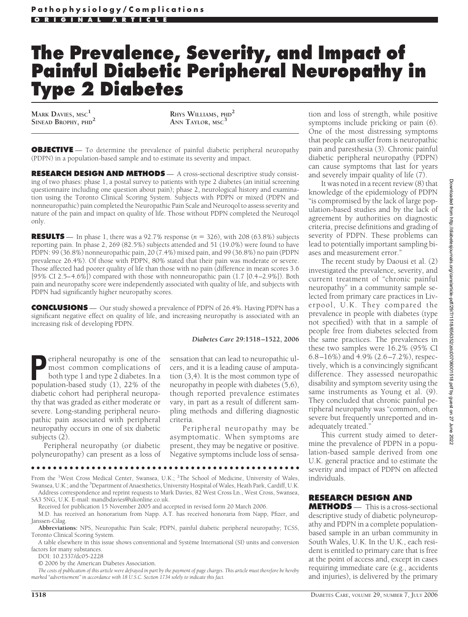# **The Prevalence, Severity, and Impact of Painful Diabetic Peripheral Neuropathy in Type 2 Diabetes**

**MARK DAVIES, MSC<sup>1</sup>**

**SINEAD BROPHY, PHD<sup>2</sup> RHYS WILLIAMS, PHD<sup>2</sup> ANN TAYLOR, MSC<sup>3</sup>**

**OBJECTIVE** — To determine the prevalence of painful diabetic peripheral neuropathy (PDPN) in a population-based sample and to estimate its severity and impact.

**RESEARCH DESIGN AND METHODS** — A cross-sectional descriptive study consisting of two phases: phase 1, a postal survey to patients with type 2 diabetes (an initial screening questionnaire including one question about pain); phase 2, neurological history and examination using the Toronto Clinical Scoring System. Subjects with PDPN or mixed (PDPN and nonneuropathic) pain completed the Neuropathic Pain Scale and Neuroqol to assess severity and nature of the pain and impact on quality of life. Those without PDPN completed the Neuroqol only.

**RESULTS** — In phase 1, there was a 92.7% response  $(n = 326)$ , with 208 (63.8%) subjects reporting pain. In phase 2, 269 (82.5%) subjects attended and 51 (19.0%) were found to have PDPN: 99 (36.8%) nonneuropathic pain, 20 (7.4%) mixed pain, and 99 (36.8%) no pain (PDPN prevalence 26.4%). Of those with PDPN, 80% stated that their pain was moderate or severe. Those affected had poorer quality of life than those with no pain (difference in mean scores 3.6 [95% CI 2.5–4.6%]) compared with those with nonneuropathic pain (1.7 [0.4–2.9%]). Both pain and neuropathy score were independently associated with quality of life, and subjects with PDPN had significantly higher neuropathy scores.

**CONCLUSIONS** — Our study showed a prevalence of PDPN of 26.4%. Having PDPN has a significant negative effect on quality of life, and increasing neuropathy is associated with an increasing risk of developing PDPN.

### *Diabetes Care* **29:1518 –1522, 2006**

**Peripheral neuropathy is one of the most common complications of both type 1 and type 2 diabetes. In a nonulation-based study (1) 22% of the** most common complications of both type 1 and type 2 diabetes. In a population-based study (1), 22% of the diabetic cohort had peripheral neuropathy that was graded as either moderate or severe. Long-standing peripheral neuropathic pain associated with peripheral neuropathy occurs in one of six diabetic subjects (2).

Peripheral neuropathy (or diabetic polyneuropathy) can present as a loss of

sensation that can lead to neuropathic ulcers, and it is a leading cause of amputation (3,4). It is the most common type of neuropathy in people with diabetes (5,6), though reported prevalence estimates vary, in part as a result of different sampling methods and differing diagnostic criteria.

Peripheral neuropathy may be asymptomatic. When symptoms are present, they may be negative or positive. Negative symptoms include loss of sensa-

●●●●●●●●●●●●●●●●●●●●●●●●●●●●●●●●●●●●●●●●●●●●●●●●● From the <sup>1</sup>West Cross Medical Center, Swansea, U.K.; <sup>2</sup>The School of Medicine, University of Wales,

Swansea, U.K.; and the <sup>3</sup>Department of Anaesthetics, University Hospital of Wales, Heath Park, Cardiff, U.K. Address correspondence and reprint requests to Mark Davies, 82 West Cross Ln., West Cross, Swansea, SA3 5NG, U.K. E-mail: mandbdavies@ukonline.co.uk.

Received for publication 15 November 2005 and accepted in revised form 20 March 2006.

M.D. has received an honorarium from Napp. A.T. has received honoraria from Napp, Pfizer, and Janssen-Cilag.

**Abbreviations:** NPS, Neuropathic Pain Scale; PDPN, painful diabetic peripheral neuropathy; TCSS, Toronto Clinical Scoring System.

A table elsewhere in this issue shows conventional and Système International (SI) units and conversion factors for many substances.

DOI: 10.2337/dc05-2228

© 2006 by the American Diabetes Association.

*The costs of publication of this article were defrayed in part by the payment of page charges. This article must therefore be hereby marked "advertisement" in accordance with 18 U.S.C. Section 1734 solely to indicate this fact.*

tion and loss of strength, while positive symptoms include pricking or pain (6). One of the most distressing symptoms that people can suffer from is neuropathic pain and paresthesia (3). Chronic painful diabetic peripheral neuropathy (PDPN) can cause symptoms that last for years and severely impair quality of life (7).

It was noted in a recent review (8) that knowledge of the epidemiology of PDPN "is compromised by the lack of large population-based studies and by the lack of agreement by authorities on diagnostic criteria, precise definitions and grading of severity of PDPN. These problems can lead to potentially important sampling biases and measurement error."

The recent study by Daousi et al. (2) investigated the prevalence, severity, and current treatment of "chronic painful neuropathy" in a community sample selected from primary care practices in Liverpool, U.K. They compared the prevalence in people with diabetes (type not specified) with that in a sample of people free from diabetes selected from the same practices. The prevalences in these two samples were 16.2% (95% CI 6.8–16%) and 4.9% (2.6–7.2%), respectively, which is a convincingly significant difference. They assessed neuropathic disability and symptom severity using the same instruments as Young et al. (9). They concluded that chronic painful peripheral neuropathy was "common, often severe but frequently unreported and inadequately treated."

This current study aimed to determine the prevalence of PDPN in a population-based sample derived from one U.K. general practice and to estimate the severity and impact of PDPN on affected individuals.

## **RESEARCH DESIGN AND**

**METHODS** — This is a cross-sectional descriptive study of diabetic polyneuropathy and PDPN in a complete populationbased sample in an urban community in South Wales, U.K. In the U.K., each resident is entitled to primary care that is free at the point of access and, except in cases requiring immediate care (e.g., accidents and injuries), is delivered by the primary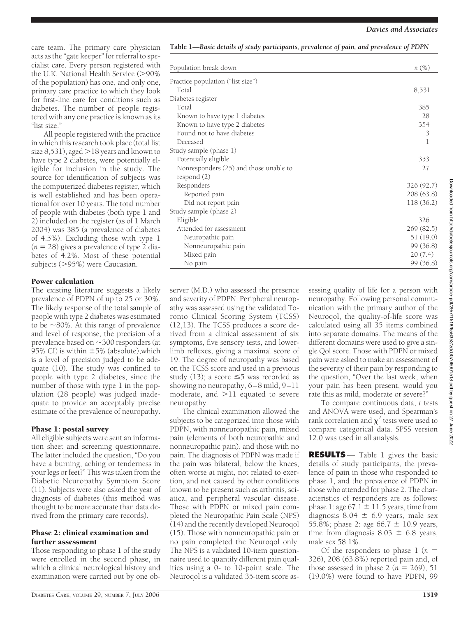care team. The primary care physician acts as the "gate keeper" for referral to specialist care. Every person registered with the U.K. National Health Service (>90% of the population) has one, and only one, primary care practice to which they look for first-line care for conditions such as diabetes. The number of people registered with any one practice is known as its "list size."

All people registered with the practice in which this research took place (total list size  $8,531$ ), aged  $>$  18 years and known to have type 2 diabetes, were potentially eligible for inclusion in the study. The source for identification of subjects was the computerized diabetes register, which is well established and has been operational for over 10 years. The total number of people with diabetes (both type 1 and 2) included on the register (as of 1 March 2004) was 385 (a prevalence of diabetes of 4.5%). Excluding those with type 1  $(n = 28)$  gives a prevalence of type 2 diabetes of 4.2%. Most of these potential subjects (>95%) were Caucasian.

## Power calculation

The existing literature suggests a likely prevalence of PDPN of up to 25 or 30%. The likely response of the total sample of people with type 2 diabetes was estimated to be  $\sim$ 80%. At this range of prevalence and level of response, the precision of a prevalence based on  $\sim$  300 responders (at 95% CI) is within  $\pm$ 5% (absolute), which is a level of precision judged to be adequate (10). The study was confined to people with type 2 diabetes, since the number of those with type 1 in the population (28 people) was judged inadequate to provide an acceptably precise estimate of the prevalence of neuropathy.

# Phase 1: postal survey

All eligible subjects were sent an information sheet and screening questionnaire. The latter included the question, "Do you have a burning, aching or tenderness in your legs or feet?" This was taken from the Diabetic Neuropathy Symptom Score (11). Subjects were also asked the year of diagnosis of diabetes (this method was thought to be more accurate than data derived from the primary care records).

## Phase 2: clinical examination and further assessment

Those responding to phase 1 of the study were enrolled in the second phase, in which a clinical neurological history and examination were carried out by one ob-

| Population break down                  | $n(\%)$    |
|----------------------------------------|------------|
| Practice population ("list size")      |            |
| Total                                  | 8,531      |
| Diabetes register                      |            |
| Total                                  | 385        |
| Known to have type 1 diabetes          | 28         |
| Known to have type 2 diabetes          | 354        |
| Found not to have diabetes             | 3          |
| Deceased                               | 1          |
| Study sample (phase 1)                 |            |
| Potentially eligible                   | 353        |
| Nonresponders (25) and those unable to | 27         |
| respond (2)                            |            |
| Responders                             | 326 (92.7) |
| Reported pain                          | 208 (63.8) |
| Did not report pain                    | 118 (36.2) |
| Study sample (phase 2)                 |            |
| Eligible                               | 326        |
| Attended for assessment                | 269(82.5)  |
| Neuropathic pain                       | 51 (19.0)  |
| Nonneuropathic pain                    | 99 (36.8)  |
| Mixed pain                             | 20(7.4)    |
| No pain                                | 99 (36.8)  |

**Table 1—***Basic details of study participants, prevalence of pain, and prevalence of PDPN*

server (M.D.) who assessed the presence and severity of PDPN. Peripheral neuropathy was assessed using the validated Toronto Clinical Scoring System (TCSS) (12,13). The TCSS produces a score derived from a clinical assessment of six symptoms, five sensory tests, and lowerlimb reflexes, giving a maximal score of 19. The degree of neuropathy was based on the TCSS score and used in a previous study (13); a score  $\leq$ 5 was recorded as showing no neuropathy, 6–8 mild, 9–11 moderate, and  $>$ 11 equated to severe neuropathy.

The clinical examination allowed the subjects to be categorized into those with PDPN, with nonneuropathic pain, mixed pain (elements of both neuropathic and nonneuropathic pain), and those with no pain. The diagnosis of PDPN was made if the pain was bilateral, below the knees, often worse at night, not related to exertion, and not caused by other conditions known to be present such as arthritis, sciatica, and peripheral vascular disease. Those with PDPN or mixed pain completed the Neuropathic Pain Scale (NPS) (14) and the recently developed Neuroqol (15). Those with nonneuropathic pain or no pain completed the Neuroqol only. The NPS is a validated 10-item questionnaire used to quantify different pain qualities using a 0- to 10-point scale. The Neuroqol is a validated 35-item score assessing quality of life for a person with neuropathy. Following personal communication with the primary author of the Neuroqol, the quality-of-life score was calculated using all 35 items combined into separate domains. The means of the different domains were used to give a single Qol score. Those with PDPN or mixed pain were asked to make an assessment of the severity of their pain by responding to the question, "Over the last week, when your pain has been present, would you rate this as mild, moderate or severe?"

To compare continuous data, *t* tests and ANOVA were used, and Spearman's rank correlation and  $\chi^2$  tests were used to compare categorical data. SPSS version 12.0 was used in all analysis.

**RESULTS** — Table 1 gives the basic details of study participants, the prevalence of pain in those who responded to phase 1, and the prevalence of PDPN in those who attended for phase 2. The characteristics of responders are as follows: phase 1: age  $67.1 \pm 11.5$  years, time from diagnosis  $8.04 \pm 6.9$  years, male sex 55.8%; phase 2: age 66.7  $\pm$  10.9 years, time from diagnosis  $8.03 \pm 6.8$  years, male sex 58.1%.

Of the responders to phase  $1(n =$ 326), 208 (63.8%) reported pain and, of those assessed in phase  $2 (n = 269)$ , 51 (19.0%) were found to have PDPN, 99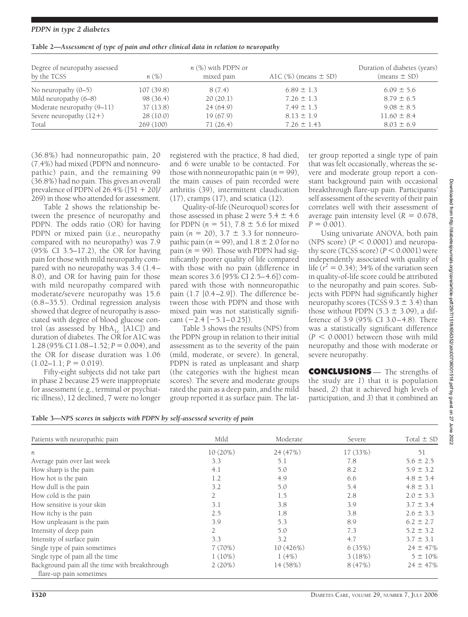## *PDPN in type 2 diabetes*

| Degree of neuropathy assessed<br>by the TCSS | $n(\%)$   | $n$ (%) with PDPN or<br>mixed pain | A1C $(\%)$ (means $\pm$ SD) | Duration of diabetes (years)<br>$(means \pm SD)$ |
|----------------------------------------------|-----------|------------------------------------|-----------------------------|--------------------------------------------------|
| No neuropathy $(0-5)$                        | 107(39.8) | 8(7.4)                             | $6.89 \pm 1.3$              | $6.09 \pm 5.6$                                   |
| Mild neuropathy $(6-8)$                      | 98(36.4)  | 20(20.1)                           | $7.26 \pm 1.3$              | $8.79 \pm 6.5$                                   |
| Moderate neuropathy (9-11)                   | 37(13.8)  | 24(64.9)                           | $7.49 \pm 1.3$              | $9.08 \pm 8.5$                                   |
| Severe neuropathy $(12+)$                    | 28(10.0)  | 19(67.9)                           | $8.13 \pm 1.9$              | $11.60 \pm 8.4$                                  |
| Total                                        | 269(100)  | 71(26.4)                           | $7.26 \pm 1.43$             | $8.03 \pm 6.9$                                   |

(36.8%) had nonneuropathic pain, 20 (7.4%) had mixed (PDPN and nonneuropathic) pain, and the remaining 99 (36.8%) had no pain. This gives an overall prevalence of PDPN of  $26.4\%$  ([51 + 20]/ 269) in those who attended for assessment.

Table 2 shows the relationship between the presence of neuropathy and PDPN. The odds ratio (OR) for having PDPN or mixed pain (i.e., neuropathy compared with no neuropathy) was 7.9 (95% CI 3.5–17.2), the OR for having pain for those with mild neuropathy compared with no neuropathy was 3.4 (1.4– 8.0), and OR for having pain for those with mild neuropathy compared with moderate/severe neuropathy was 15.6 (6.8–35.5). Ordinal regression analysis showed that degree of neuropathy is associated with degree of blood glucose control (as assessed by  $HbA_{1c}$ <sup>[A1C]</sup>) and duration of diabetes. The OR for A1C was 1.28 (95% CI 1.08 – 1.52;  $P = 0.004$ ), and the OR for disease duration was 1.06  $(1.02-1.1; P = 0.019).$ 

Fifty-eight subjects did not take part in phase 2 because 25 were inappropriate for assessment (e.g., terminal or psychiatric illness), 12 declined, 7 were no longer registered with the practice, 8 had died, and 6 were unable to be contacted. For those with nonneuropathic pain  $(n = 99)$ , the main causes of pain recorded were arthritis (39), intermittent claudication (17), cramps (17), and sciatica (12).

Quality-of-life (Neuroquol) scores for those assessed in phase 2 were  $5.4 \pm 4.6$ for PDPN  $(n = 51)$ , 7.8  $\pm$  5.6 for mixed pain  $(n = 20)$ ,  $3.7 \pm 3.3$  for nonneuropathic pain ( $n = 99$ ), and  $1.8 \pm 2.0$  for no pain  $(n = 99)$ . Those with PDPN had significantly poorer quality of life compared with those with no pain (difference in mean scores 3.6 [95% CI 2.5–4.6]) compared with those with nonneuropathic pain (1.7 [0.4–2.9]). The difference between those with PDPN and those with mixed pain was not statistically significant  $(-2.4 [-5.1 - 0.25])$ .

Table 3 shows the results (NPS) from the PDPN group in relation to their initial assessment as to the severity of the pain (mild, moderate, or severe). In general, PDPN is rated as unpleasant and sharp (the categories with the highest mean scores). The severe and moderate groups rated the pain as a deep pain, and the mild group reported it as surface pain. The latter group reported a single type of pain that was felt occasionally, whereas the severe and moderate group report a constant background pain with occasional breakthrough flare-up pain. Participants' self assessment of the severity of their pain correlates well with their assessment of average pain intensity level  $(R = 0.678)$ ,  $P = 0.001$ .

Using univariate ANOVA, both pain (NPS score)  $(P < 0.0001)$  and neuropathy score (TCSS score)  $(P < 0.0001)$  were independently associated with quality of life  $(r^2 = 0.34)$ ; 34% of the variation seen in quality-of-life score could be attributed to the neuropathy and pain scores. Subjects with PDPN had significantly higher neuropathy scores (TCSS  $9.3 \pm 3.4$ ) than those without PDPN  $(5.3 \pm 3.09)$ , a difference of 3.9 (95% CI 3.0–4.8). There was a statistically significant difference  $(P < 0.0001)$  between those with mild neuropathy and those with moderate or severe neuropathy.

**CONCLUSIONS** — The strengths of the study are *1*) that it is population based, *2*) that it achieved high levels of participation, and *3*) that it combined an

| Table 3-NPS scores in subjects with PDPN by self-assessed severity of pain |  |  |  |
|----------------------------------------------------------------------------|--|--|--|
|                                                                            |  |  |  |

| Patients with neuropathic pain                                            | Mild      | Moderate  | Severe   | Total $\pm$ SD |
|---------------------------------------------------------------------------|-----------|-----------|----------|----------------|
| $\boldsymbol{n}$                                                          | 10 (20%)  | 24 (47%)  | 17 (33%) | 51             |
| Average pain over last week                                               | 3.3       | 5.1       | 7.8      | $5.6 \pm 2.5$  |
| How sharp is the pain                                                     | 4.1       | 5.0       | 8.2      | $5.9 \pm 3.2$  |
| How hot is the pain                                                       | 1.2       | 4.9       | 6.6      | $4.8 \pm 3.4$  |
| How dull is the pain                                                      | 3.2       | 5.0       | 5.4      | $4.8 \pm 3.1$  |
| How cold is the pain                                                      | 2         | 1.5       | 2.8      | $2.0 \pm 3.3$  |
| How sensitive is your skin                                                | 3.1       | 3.8       | 3.9      | $3.7 \pm 3.4$  |
| How itchy is the pain                                                     | 2.5       | 1.8       | 3.8      | $2.6 \pm 3.3$  |
| How unpleasant is the pain                                                | 3.9       | 5.3       | 8.9      | $6.2 \pm 2.7$  |
| Intensity of deep pain                                                    | 2         | 5.0       | 7.3      | $5.2 \pm 3.2$  |
| Intensity of surface pain                                                 | 3.3       | 3.2       | 4.7      | $3.7 \pm 3.1$  |
| Single type of pain sometimes                                             | 7(70%)    | 10 (426%) | 6(35%)   | $24 \pm 47\%$  |
| Single type of pain all the time                                          | $1(10\%)$ | 1(4%)     | 3(18%)   | $5 \pm 10\%$   |
| Background pain all the time with breakthrough<br>flare-up pain sometimes | 2(20%)    | 14 (58%)  | 8(47%)   | $24 \pm 47\%$  |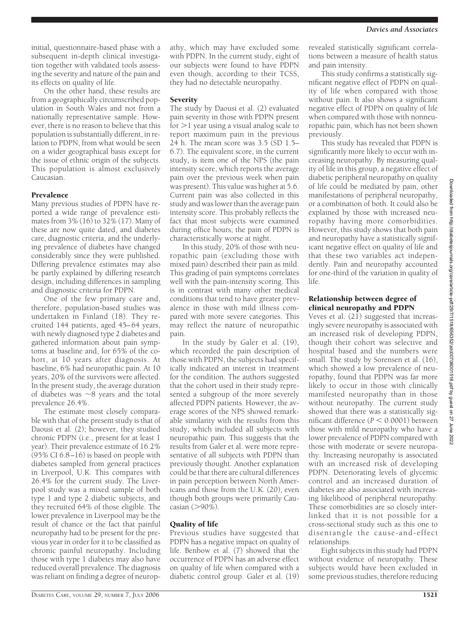initial, questionnaire-based phase with a subsequent in-depth clinical investigation together with validated tools assessing the severity and nature of the pain and its effects on quality of life.

On the other hand, these results are from a geographically circumscribed population in South Wales and not from a nationally representative sample. However, there is no reason to believe that this population is substantially different, in relation to PDPN, from what would be seen on a wider geographical basis except for the issue of ethnic origin of the subjects. This population is almost exclusively Caucasian.

# **Prevalence**

Many previous studies of PDPN have reported a wide range of prevalence estimates from 3% (16) to 32% (17). Many of these are now quite dated, and diabetes care, diagnostic criteria, and the underlying prevalence of diabetes have changed considerably since they were published. Differing prevalence estimates may also be partly explained by differing research design, including differences in sampling and diagnostic criteria for PDPN.

One of the few primary care and, therefore, population-based studies was undertaken in Finland (18). They recruited 144 patients, aged 45–64 years, with newly diagnosed type 2 diabetes and gathered information about pain symptoms at baseline and, for 65% of the cohort, at 10 years after diagnosis. At baseline, 6% had neuropathic pain. At 10 years, 20% of the survivors were affected. In the present study, the average duration of diabetes was  $\sim$ 8 years and the total prevalence 26.4%.

The estimate most closely comparable with that of the present study is that of Daousi et al. (2); however, they studied chronic PDPN (i.e., present for at least 1 year). Their prevalence estimate of 16.2% (95% CI 6.8–16) is based on people with diabetes sampled from general practices in Liverpool, U.K. This compares with 26.4% for the current study. The Liverpool study was a mixed sample of both type 1 and type 2 diabetic subjects, and they recruited 64% of those eligible. The lower prevalence in Liverpool may be the result of chance or the fact that painful neuropathy had to be present for the previous year in order for it to be classified as chronic painful neuropathy. Including those with type 1 diabetes may also have reduced overall prevalence. The diagnosis was reliant on finding a degree of neuropathy, which may have excluded some with PDPN. In the current study, eight of our subjects were found to have PDPN even though, according to their TCSS, they had no detectable neuropathy.

## **Severity**

The study by Daousi et al. (2) evaluated pain severity in those with PDPN present for  $>$ 1 year using a visual analog scale to report maximum pain in the previous  $24$  h. The mean score was  $3.5$  (SD 1.5– 6.7). The equivalent score, in the current study, is item one of the NPS (the pain intensity score, which reports the average pain over the previous week when pain was present). This value was higher at 5.6. Current pain was also collected in this study and was lower than the average pain intensity score. This probably reflects the fact that most subjects were examined during office hours; the pain of PDPN is characteristically worse at night.

In this study, 20% of those with neuropathic pain (excluding those with mixed pain) described their pain as mild. This grading of pain symptoms correlates well with the pain-intensity scoring. This is in contrast with many other medical conditions that tend to have greater prevalence in those with mild illness compared with more severe categories. This may reflect the nature of neuropathic pain.

In the study by Galer et al. (19), which recorded the pain description of those with PDPN, the subjects had specifically indicated an interest in treatment for the condition. The authors suggested that the cohort used in their study represented a subgroup of the more severely affected PDPN patients. However, the average scores of the NPS showed remarkable similarity with the results from this study, which included all subjects with neuropathic pain. This suggests that the results from Galer et al. were more representative of all subjects with PDPN than previously thought. Another explanation could be that there are cultural differences in pain perception between North Americans and those from the U.K. (20), even though both groups were primarily Caucasian (>90%).

# Quality of life

Previous studies have suggested that PDPN has a negative impact on quality of life. Benbow et al. (7) showed that the occurrence of PDPN has an adverse effect on quality of life when compared with a diabetic control group. Galer et al. (19)

revealed statistically significant correlations between a measure of health status and pain intensity.

This study confirms a statistically significant negative effect of PDPN on quality of life when compared with those without pain. It also shows a significant negative effect of PDPN on quality of life when compared with those with nonneuropathic pain, which has not been shown previously.

This study has revealed that PDPN is significantly more likely to occur with increasing neuropathy. By measuring quality of life in this group, a negative effect of diabetic peripheral neuropathy on quality of life could be mediated by pain, other manifestations of peripheral neuropathy, or a combination of both. It could also be explained by those with increased neuropathy having more comorbidities. However, this study shows that both pain and neuropathy have a statistically significant negative effect on quality of life and that these two variables act independently. Pain and neuropathy accounted for one-third of the variation in quality of life.

## Relationship between degree of clinical neuropathy and PDPN

Veves et al.  $(2\bar{1})$  suggested that increasingly severe neuropathy is associated with an increased risk of developing PDPN, though their cohort was selective and hospital based and the numbers were small. The study by Sorensen et al. (16), which showed a low prevalence of neuropathy, found that PDPN was far more likely to occur in those with clinically manifested neuropathy than in those without neuropathy. The current study showed that there was a statistically significant difference  $(P < 0.0001)$  between those with mild neuropathy who have a lower prevalence of PDPN compared with those with moderate or severe neuropathy. Increasing neuropathy is associated with an increased risk of developing PDPN. Deteriorating levels of glycemic control and an increased duration of diabetes are also associated with increasing likelihood of peripheral neuropathy. These comorbidities are so closely interlinked that it is not possible for a cross-sectional study such as this one to disentangle the cause-and-effect relationships.

Eight subjects in this study had PDPN without evidence of neuropathy. These subjects would have been excluded in some previous studies, therefore reducing